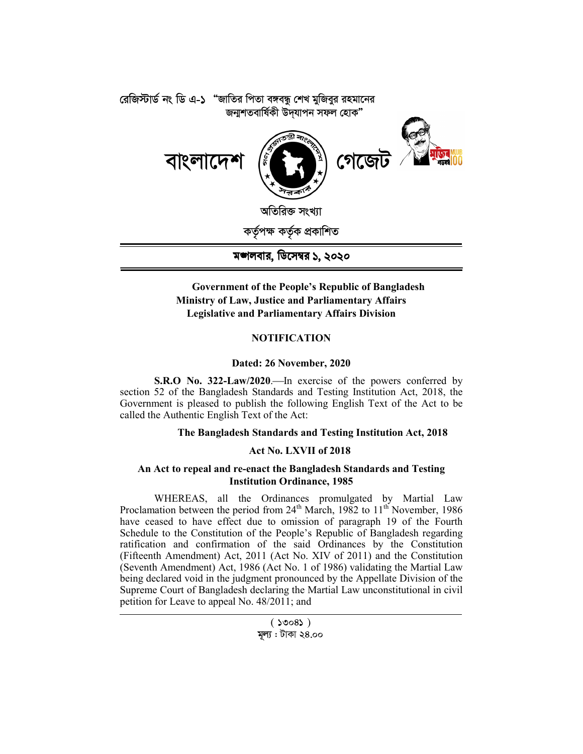

# **Government of the People's Republic of Bangladesh Ministry of Law, Justice and Parliamentary Affairs Legislative and Parliamentary Affairs Division**

# **NOTIFICATION**

## **Dated: 26 November, 2020**

**S.R.O No. 322-Law/2020.** In exercise of the powers conferred by section 52 of the Bangladesh Standards and Testing Institution Act, 2018, the Government is pleased to publish the following English Text of the Act to be called the Authentic English Text of the Act:

# **The Bangladesh Standards and Testing Institution Act, 2018**

## **Act No. LXVII of 2018**

## **An Act to repeal and re-enact the Bangladesh Standards and Testing Institution Ordinance, 1985**

WHEREAS, all the Ordinances promulgated by Martial Law Proclamation between the period from  $24<sup>th</sup>$  March, 1982 to  $11<sup>th</sup>$  November, 1986 have ceased to have effect due to omission of paragraph 19 of the Fourth Schedule to the Constitution of the People's Republic of Bangladesh regarding ratification and confirmation of the said Ordinances by the Constitution (Fifteenth Amendment) Act, 2011 (Act No. XIV of 2011) and the Constitution (Seventh Amendment) Act, 1986 (Act No. 1 of 1986) validating the Martial Law being declared void in the judgment pronounced by the Appellate Division of the Supreme Court of Bangladesh declaring the Martial Law unconstitutional in civil petition for Leave to appeal No. 48/2011; and

 $($  10081)

## **মল্য** : টাকা ২৪.০০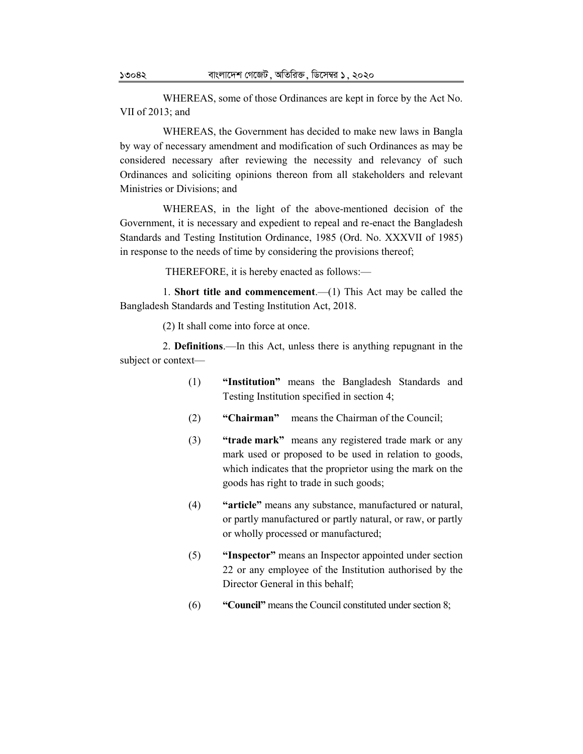WHEREAS, some of those Ordinances are kept in force by the Act No. VII of 2013; and

WHEREAS, the Government has decided to make new laws in Bangla by way of necessary amendment and modification of such Ordinances as may be considered necessary after reviewing the necessity and relevancy of such Ordinances and soliciting opinions thereon from all stakeholders and relevant Ministries or Divisions; and

WHEREAS, in the light of the above-mentioned decision of the Government, it is necessary and expedient to repeal and re-enact the Bangladesh Standards and Testing Institution Ordinance, 1985 (Ord. No. XXXVII of 1985) in response to the needs of time by considering the provisions thereof;

THEREFORE, it is hereby enacted as follows:—

1. **Short title and commencement**.—(1) This Act may be called the Bangladesh Standards and Testing Institution Act, 2018.

(2) It shall come into force at once.

2. **Definitions**.—In this Act, unless there is anything repugnant in the subject or context—

- (1) **"Institution"** means the Bangladesh Standards and Testing Institution specified in section 4;
- (2) **"Chairman"** means the Chairman of the Council;
- (3) **"trade mark"** means any registered trade mark or any mark used or proposed to be used in relation to goods, which indicates that the proprietor using the mark on the goods has right to trade in such goods;
- (4) **"article"** means any substance, manufactured or natural, or partly manufactured or partly natural, or raw, or partly or wholly processed or manufactured;
- (5) **"Inspector"** means an Inspector appointed under section 22 or any employee of the Institution authorised by the Director General in this behalf;
- (6) **"Council"** means the Council constituted under section 8;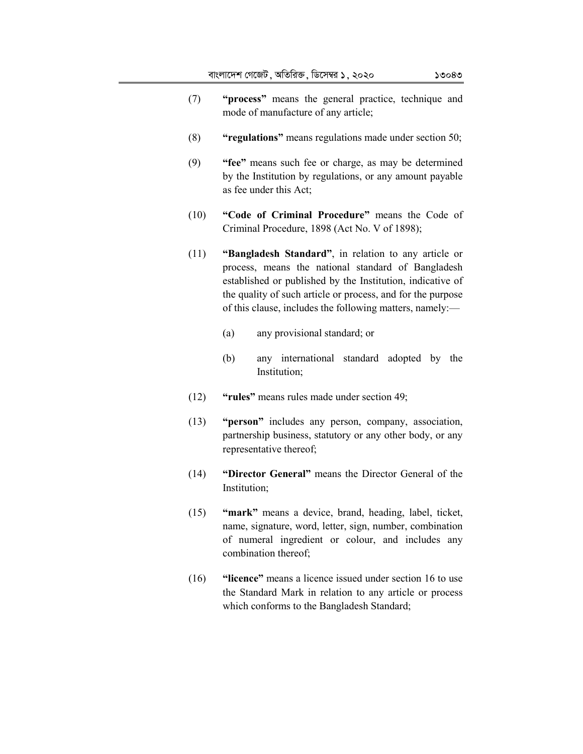- (7) **"process"** means the general practice, technique and mode of manufacture of any article;
- (8) **"regulations"** means regulations made under section 50;
- (9) **"fee"** means such fee or charge, as may be determined by the Institution by regulations, or any amount payable as fee under this Act;
- (10) **"Code of Criminal Procedure"** means the Code of Criminal Procedure, 1898 (Act No. V of 1898);
- (11) **"Bangladesh Standard"**, in relation to any article or process, means the national standard of Bangladesh established or published by the Institution, indicative of the quality of such article or process, and for the purpose of this clause, includes the following matters, namely:—
	- (a) any provisional standard; or
	- (b) any international standard adopted by the Institution;
- (12) **"rules"** means rules made under section 49;
- (13) **"person"** includes any person, company, association, partnership business, statutory or any other body, or any representative thereof;
- (14) **"Director General"** means the Director General of the Institution;
- (15) **"mark"** means a device, brand, heading, label, ticket, name, signature, word, letter, sign, number, combination of numeral ingredient or colour, and includes any combination thereof;
- (16) **"licence"** means a licence issued under section 16 to use the Standard Mark in relation to any article or process which conforms to the Bangladesh Standard;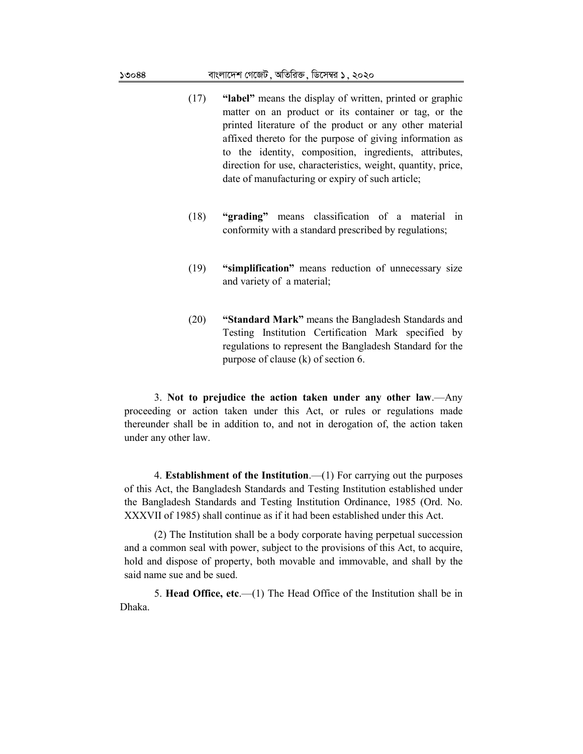- (17) **"label"** means the display of written, printed or graphic matter on an product or its container or tag, or the printed literature of the product or any other material affixed thereto for the purpose of giving information as to the identity, composition, ingredients, attributes, direction for use, characteristics, weight, quantity, price, date of manufacturing or expiry of such article;
- (18) **"grading"** means classification of a material in conformity with a standard prescribed by regulations;
- (19) **"simplification"** means reduction of unnecessary size and variety of a material;
- (20) **"Standard Mark"** means the Bangladesh Standards and Testing Institution Certification Mark specified by regulations to represent the Bangladesh Standard for the purpose of clause (k) of section 6.

3. **Not to prejudice the action taken under any other law**.—Any proceeding or action taken under this Act, or rules or regulations made thereunder shall be in addition to, and not in derogation of, the action taken under any other law.

4. **Establishment of the Institution**.—(1) For carrying out the purposes of this Act, the Bangladesh Standards and Testing Institution established under the Bangladesh Standards and Testing Institution Ordinance, 1985 (Ord. No. XXXVII of 1985) shall continue as if it had been established under this Act.

(2) The Institution shall be a body corporate having perpetual succession and a common seal with power, subject to the provisions of this Act, to acquire, hold and dispose of property, both movable and immovable, and shall by the said name sue and be sued.

5. **Head Office, etc**.—(1) The Head Office of the Institution shall be in Dhaka.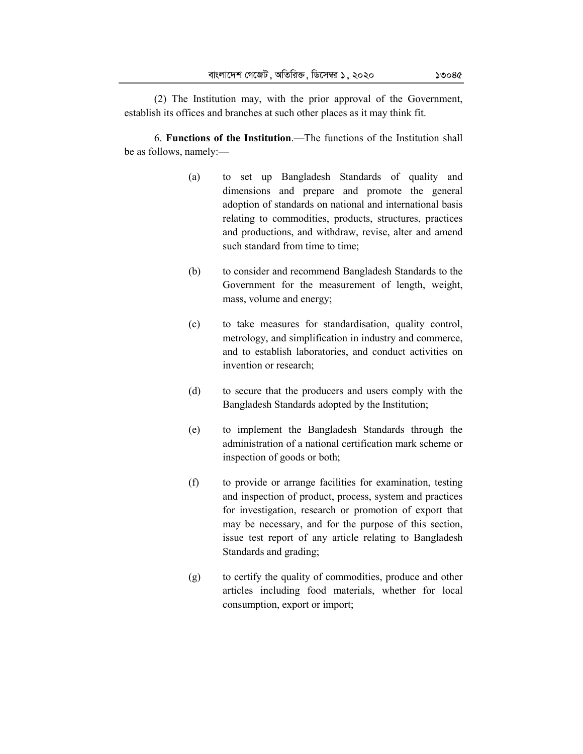(2) The Institution may, with the prior approval of the Government, establish its offices and branches at such other places as it may think fit.

6. **Functions of the Institution**.—The functions of the Institution shall be as follows, namely:—

- (a) to set up Bangladesh Standards of quality and dimensions and prepare and promote the general adoption of standards on national and international basis relating to commodities, products, structures, practices and productions, and withdraw, revise, alter and amend such standard from time to time;
- (b) to consider and recommend Bangladesh Standards to the Government for the measurement of length, weight, mass, volume and energy;
- (c) to take measures for standardisation, quality control, metrology, and simplification in industry and commerce, and to establish laboratories, and conduct activities on invention or research;
- (d) to secure that the producers and users comply with the Bangladesh Standards adopted by the Institution;
- (e) to implement the Bangladesh Standards through the administration of a national certification mark scheme or inspection of goods or both;
- (f) to provide or arrange facilities for examination, testing and inspection of product, process, system and practices for investigation, research or promotion of export that may be necessary, and for the purpose of this section, issue test report of any article relating to Bangladesh Standards and grading;
- (g) to certify the quality of commodities, produce and other articles including food materials, whether for local consumption, export or import;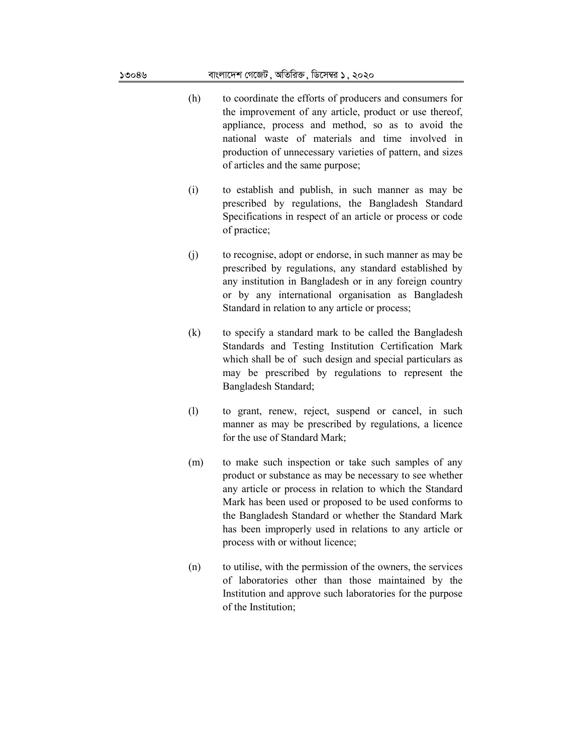- (h) to coordinate the efforts of producers and consumers for the improvement of any article, product or use thereof, appliance, process and method, so as to avoid the national waste of materials and time involved in production of unnecessary varieties of pattern, and sizes of articles and the same purpose;
- (i) to establish and publish, in such manner as may be prescribed by regulations, the Bangladesh Standard Specifications in respect of an article or process or code of practice;
- (j) to recognise, adopt or endorse, in such manner as may be prescribed by regulations, any standard established by any institution in Bangladesh or in any foreign country or by any international organisation as Bangladesh Standard in relation to any article or process;
- (k) to specify a standard mark to be called the Bangladesh Standards and Testing Institution Certification Mark which shall be of such design and special particulars as may be prescribed by regulations to represent the Bangladesh Standard;
- (l) to grant, renew, reject, suspend or cancel, in such manner as may be prescribed by regulations, a licence for the use of Standard Mark;
- (m) to make such inspection or take such samples of any product or substance as may be necessary to see whether any article or process in relation to which the Standard Mark has been used or proposed to be used conforms to the Bangladesh Standard or whether the Standard Mark has been improperly used in relations to any article or process with or without licence;
- (n) to utilise, with the permission of the owners, the services of laboratories other than those maintained by the Institution and approve such laboratories for the purpose of the Institution;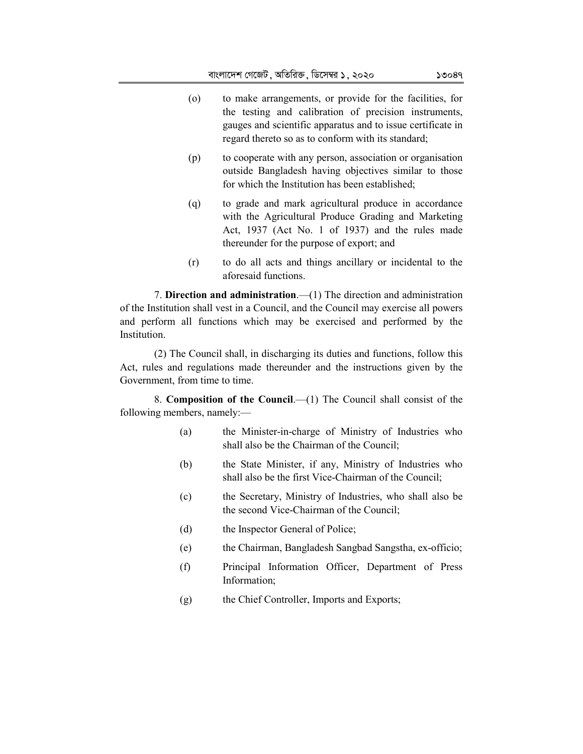- (o) to make arrangements, or provide for the facilities, for the testing and calibration of precision instruments, gauges and scientific apparatus and to issue certificate in regard thereto so as to conform with its standard;
- (p) to cooperate with any person, association or organisation outside Bangladesh having objectives similar to those for which the Institution has been established;
- (q) to grade and mark agricultural produce in accordance with the Agricultural Produce Grading and Marketing Act, 1937 (Act No. 1 of 1937) and the rules made thereunder for the purpose of export; and
- (r) to do all acts and things ancillary or incidental to the aforesaid functions.

7. **Direction and administration**.—(1) The direction and administration of the Institution shall vest in a Council, and the Council may exercise all powers and perform all functions which may be exercised and performed by the Institution.

(2) The Council shall, in discharging its duties and functions, follow this Act, rules and regulations made thereunder and the instructions given by the Government, from time to time.

8. **Composition of the Council**.—(1) The Council shall consist of the following members, namely:—

- (a) the Minister-in-charge of Ministry of Industries who shall also be the Chairman of the Council;
- (b) the State Minister, if any, Ministry of Industries who shall also be the first Vice-Chairman of the Council;
- (c) the Secretary, Ministry of Industries, who shall also be the second Vice-Chairman of the Council;
- (d) the Inspector General of Police;
- (e) the Chairman, Bangladesh Sangbad Sangstha, ex-officio;
- (f) Principal Information Officer, Department of Press Information;
- (g) the Chief Controller, Imports and Exports;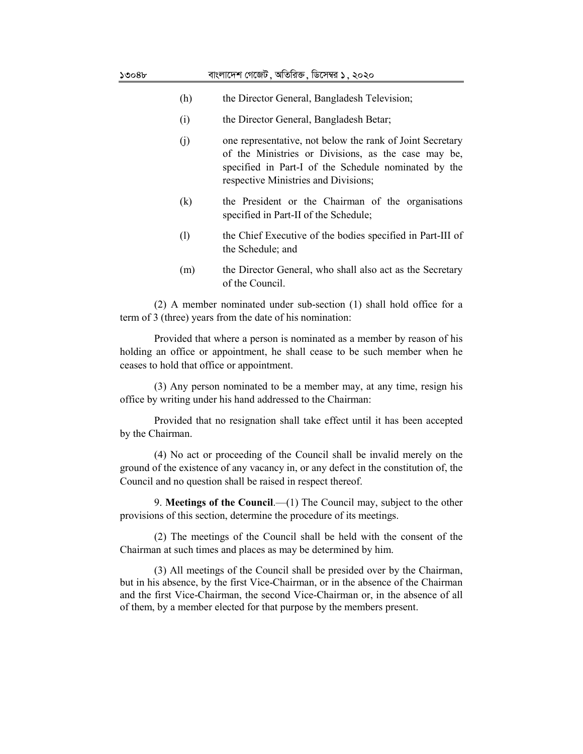| ১৩০৪৮ |                            | বাংলাদেশ গেজেট , অতিরিক্ত , ডিসেম্বর ১ , ২০২০                                                                                                                                                                    |
|-------|----------------------------|------------------------------------------------------------------------------------------------------------------------------------------------------------------------------------------------------------------|
|       | (h)                        | the Director General, Bangladesh Television;                                                                                                                                                                     |
|       | (i)                        | the Director General, Bangladesh Betar;                                                                                                                                                                          |
|       | (j)                        | one representative, not below the rank of Joint Secretary<br>of the Ministries or Divisions, as the case may be,<br>specified in Part-I of the Schedule nominated by the<br>respective Ministries and Divisions; |
|       | (k)                        | the President or the Chairman of the organisations<br>specified in Part-II of the Schedule;                                                                                                                      |
|       | $\left( \mathrm{l}\right)$ | the Chief Executive of the bodies specified in Part-III of<br>the Schedule; and                                                                                                                                  |
|       | (m)                        | the Director General, who shall also act as the Secretary<br>of the Council.                                                                                                                                     |

(2) A member nominated under sub-section (1) shall hold office for a term of 3 (three) years from the date of his nomination:

Provided that where a person is nominated as a member by reason of his holding an office or appointment, he shall cease to be such member when he ceases to hold that office or appointment.

(3) Any person nominated to be a member may, at any time, resign his office by writing under his hand addressed to the Chairman:

Provided that no resignation shall take effect until it has been accepted by the Chairman.

(4) No act or proceeding of the Council shall be invalid merely on the ground of the existence of any vacancy in, or any defect in the constitution of, the Council and no question shall be raised in respect thereof.

9. **Meetings of the Council**.—(1) The Council may, subject to the other provisions of this section, determine the procedure of its meetings.

(2) The meetings of the Council shall be held with the consent of the Chairman at such times and places as may be determined by him.

(3) All meetings of the Council shall be presided over by the Chairman, but in his absence, by the first Vice-Chairman, or in the absence of the Chairman and the first Vice-Chairman, the second Vice-Chairman or, in the absence of all of them, by a member elected for that purpose by the members present.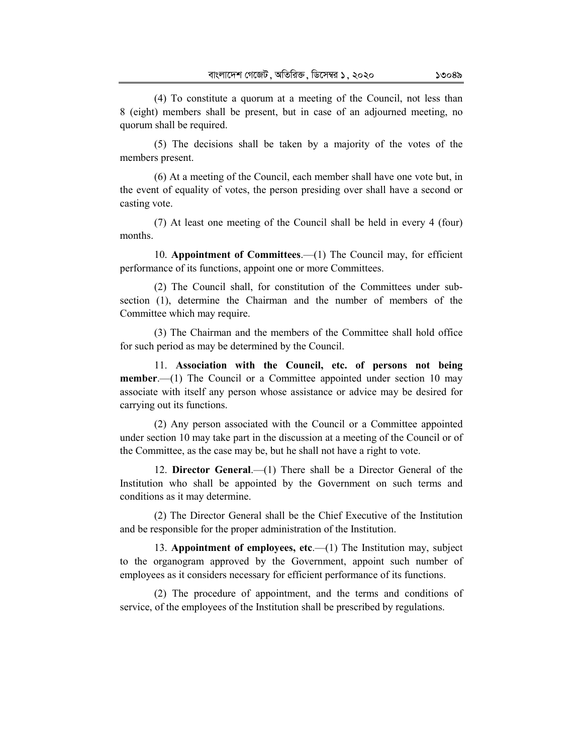(4) To constitute a quorum at a meeting of the Council, not less than 8 (eight) members shall be present, but in case of an adjourned meeting, no quorum shall be required.

(5) The decisions shall be taken by a majority of the votes of the members present.

(6) At a meeting of the Council, each member shall have one vote but, in the event of equality of votes, the person presiding over shall have a second or casting vote.

(7) At least one meeting of the Council shall be held in every 4 (four) months.

10. **Appointment of Committees**.—(1) The Council may, for efficient performance of its functions, appoint one or more Committees.

(2) The Council shall, for constitution of the Committees under subsection (1), determine the Chairman and the number of members of the Committee which may require.

(3) The Chairman and the members of the Committee shall hold office for such period as may be determined by the Council.

11. **Association with the Council, etc. of persons not being member.**—(1) The Council or a Committee appointed under section 10 may associate with itself any person whose assistance or advice may be desired for carrying out its functions.

(2) Any person associated with the Council or a Committee appointed under section 10 may take part in the discussion at a meeting of the Council or of the Committee, as the case may be, but he shall not have a right to vote.

12. **Director General**.—(1) There shall be a Director General of the Institution who shall be appointed by the Government on such terms and conditions as it may determine.

(2) The Director General shall be the Chief Executive of the Institution and be responsible for the proper administration of the Institution.

13. **Appointment of employees, etc**.—(1) The Institution may, subject to the organogram approved by the Government, appoint such number of employees as it considers necessary for efficient performance of its functions.

(2) The procedure of appointment, and the terms and conditions of service, of the employees of the Institution shall be prescribed by regulations.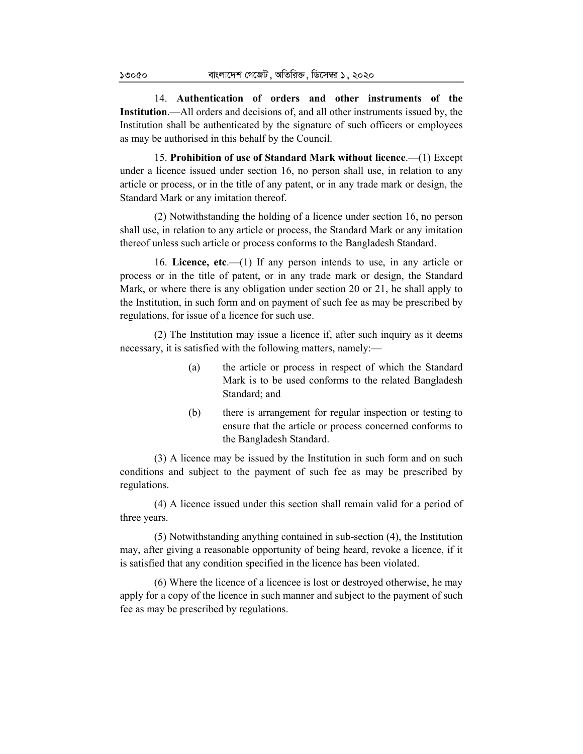14. **Authentication of orders and other instruments of the Institution**.—All orders and decisions of, and all other instruments issued by, the Institution shall be authenticated by the signature of such officers or employees as may be authorised in this behalf by the Council.

15. **Prohibition of use of Standard Mark without licence**.—(1) Except under a licence issued under section 16, no person shall use, in relation to any article or process, or in the title of any patent, or in any trade mark or design, the Standard Mark or any imitation thereof.

(2) Notwithstanding the holding of a licence under section 16, no person shall use, in relation to any article or process, the Standard Mark or any imitation thereof unless such article or process conforms to the Bangladesh Standard.

16. **Licence, etc**.—(1) If any person intends to use, in any article or process or in the title of patent, or in any trade mark or design, the Standard Mark, or where there is any obligation under section 20 or 21, he shall apply to the Institution, in such form and on payment of such fee as may be prescribed by regulations, for issue of a licence for such use.

(2) The Institution may issue a licence if, after such inquiry as it deems necessary, it is satisfied with the following matters, namely:—

- (a) the article or process in respect of which the Standard Mark is to be used conforms to the related Bangladesh Standard; and
- (b) there is arrangement for regular inspection or testing to ensure that the article or process concerned conforms to the Bangladesh Standard.

(3) A licence may be issued by the Institution in such form and on such conditions and subject to the payment of such fee as may be prescribed by regulations.

(4) A licence issued under this section shall remain valid for a period of three years.

(5) Notwithstanding anything contained in sub-section (4), the Institution may, after giving a reasonable opportunity of being heard, revoke a licence, if it is satisfied that any condition specified in the licence has been violated.

(6) Where the licence of a licencee is lost or destroyed otherwise, he may apply for a copy of the licence in such manner and subject to the payment of such fee as may be prescribed by regulations.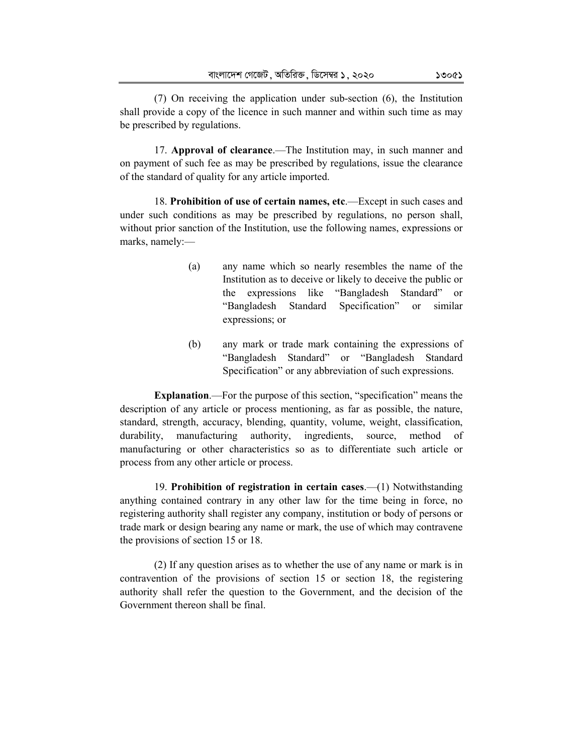(7) On receiving the application under sub-section (6), the Institution shall provide a copy of the licence in such manner and within such time as may be prescribed by regulations.

17. **Approval of clearance**.—The Institution may, in such manner and on payment of such fee as may be prescribed by regulations, issue the clearance of the standard of quality for any article imported.

18. **Prohibition of use of certain names, etc**.—Except in such cases and under such conditions as may be prescribed by regulations, no person shall, without prior sanction of the Institution, use the following names, expressions or marks, namely:—

- (a) any name which so nearly resembles the name of the Institution as to deceive or likely to deceive the public or the expressions like "Bangladesh Standard" or "Bangladesh Standard Specification" or similar expressions; or
- (b) any mark or trade mark containing the expressions of "Bangladesh Standard" or "Bangladesh Standard Specification" or any abbreviation of such expressions.

**Explanation**.—For the purpose of this section, "specification" means the description of any article or process mentioning, as far as possible, the nature, standard, strength, accuracy, blending, quantity, volume, weight, classification, durability, manufacturing authority, ingredients, source, method of manufacturing or other characteristics so as to differentiate such article or process from any other article or process.

19. **Prohibition of registration in certain cases**.—(1) Notwithstanding anything contained contrary in any other law for the time being in force, no registering authority shall register any company, institution or body of persons or trade mark or design bearing any name or mark, the use of which may contravene the provisions of section 15 or 18.

(2) If any question arises as to whether the use of any name or mark is in contravention of the provisions of section 15 or section 18, the registering authority shall refer the question to the Government, and the decision of the Government thereon shall be final.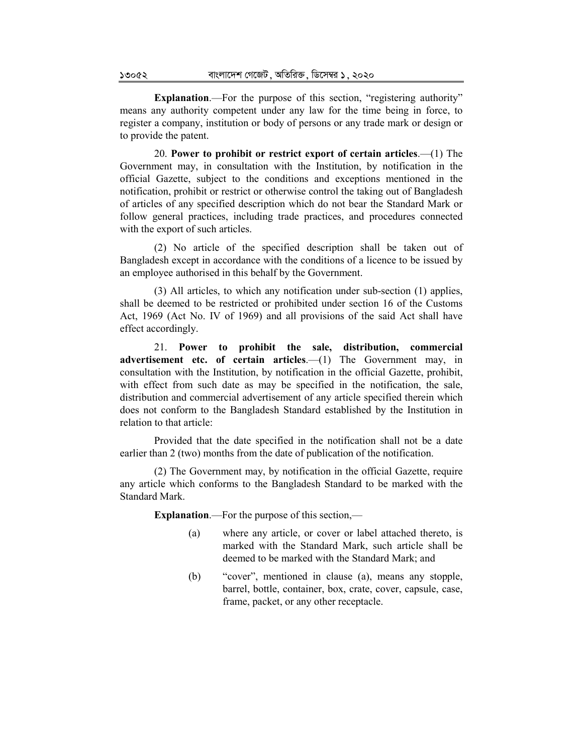**Explanation.**—For the purpose of this section, "registering authority" means any authority competent under any law for the time being in force, to register a company, institution or body of persons or any trade mark or design or to provide the patent.

20. **Power to prohibit or restrict export of certain articles**.—(1) The Government may, in consultation with the Institution, by notification in the official Gazette, subject to the conditions and exceptions mentioned in the notification, prohibit or restrict or otherwise control the taking out of Bangladesh of articles of any specified description which do not bear the Standard Mark or follow general practices, including trade practices, and procedures connected with the export of such articles.

(2) No article of the specified description shall be taken out of Bangladesh except in accordance with the conditions of a licence to be issued by an employee authorised in this behalf by the Government.

(3) All articles, to which any notification under sub-section (1) applies, shall be deemed to be restricted or prohibited under section 16 of the Customs Act, 1969 (Act No. IV of 1969) and all provisions of the said Act shall have effect accordingly.

21. **Power to prohibit the sale, distribution, commercial advertisement etc. of certain articles**.—(1) The Government may, in consultation with the Institution, by notification in the official Gazette, prohibit, with effect from such date as may be specified in the notification, the sale, distribution and commercial advertisement of any article specified therein which does not conform to the Bangladesh Standard established by the Institution in relation to that article:

Provided that the date specified in the notification shall not be a date earlier than 2 (two) months from the date of publication of the notification.

(2) The Government may, by notification in the official Gazette, require any article which conforms to the Bangladesh Standard to be marked with the Standard Mark.

**Explanation**.—For the purpose of this section,—

- (a) where any article, or cover or label attached thereto, is marked with the Standard Mark, such article shall be deemed to be marked with the Standard Mark; and
- (b) "cover", mentioned in clause (a), means any stopple, barrel, bottle, container, box, crate, cover, capsule, case, frame, packet, or any other receptacle.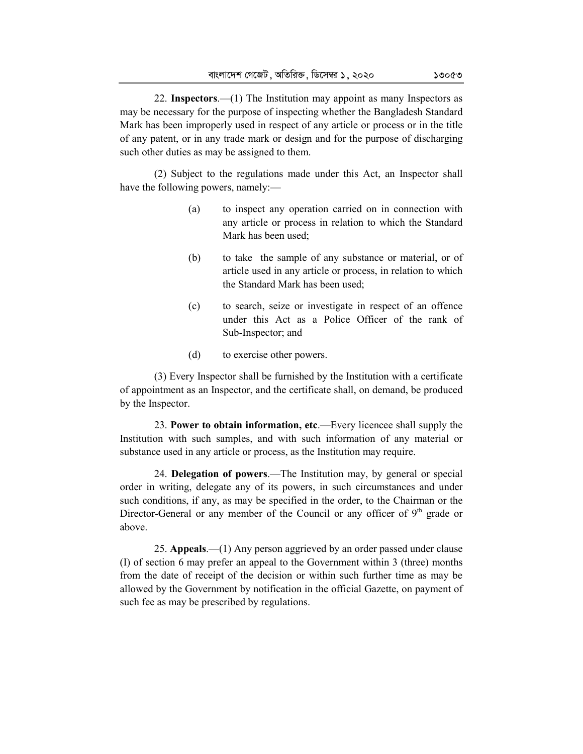22. **Inspectors**.—(1) The Institution may appoint as many Inspectors as may be necessary for the purpose of inspecting whether the Bangladesh Standard Mark has been improperly used in respect of any article or process or in the title of any patent, or in any trade mark or design and for the purpose of discharging such other duties as may be assigned to them.

(2) Subject to the regulations made under this Act, an Inspector shall have the following powers, namely:—

- (a) to inspect any operation carried on in connection with any article or process in relation to which the Standard Mark has been used;
- (b) to take the sample of any substance or material, or of article used in any article or process, in relation to which the Standard Mark has been used;
- (c) to search, seize or investigate in respect of an offence under this Act as a Police Officer of the rank of Sub-Inspector; and
- (d) to exercise other powers.

(3) Every Inspector shall be furnished by the Institution with a certificate of appointment as an Inspector, and the certificate shall, on demand, be produced by the Inspector.

23. **Power to obtain information, etc**.—Every licencee shall supply the Institution with such samples, and with such information of any material or substance used in any article or process, as the Institution may require.

24. **Delegation of powers**.—The Institution may, by general or special order in writing, delegate any of its powers, in such circumstances and under such conditions, if any, as may be specified in the order, to the Chairman or the Director-General or any member of the Council or any officer of  $9<sup>th</sup>$  grade or above.

25. **Appeals**.—(1) Any person aggrieved by an order passed under clause (I) of section 6 may prefer an appeal to the Government within 3 (three) months from the date of receipt of the decision or within such further time as may be allowed by the Government by notification in the official Gazette, on payment of such fee as may be prescribed by regulations.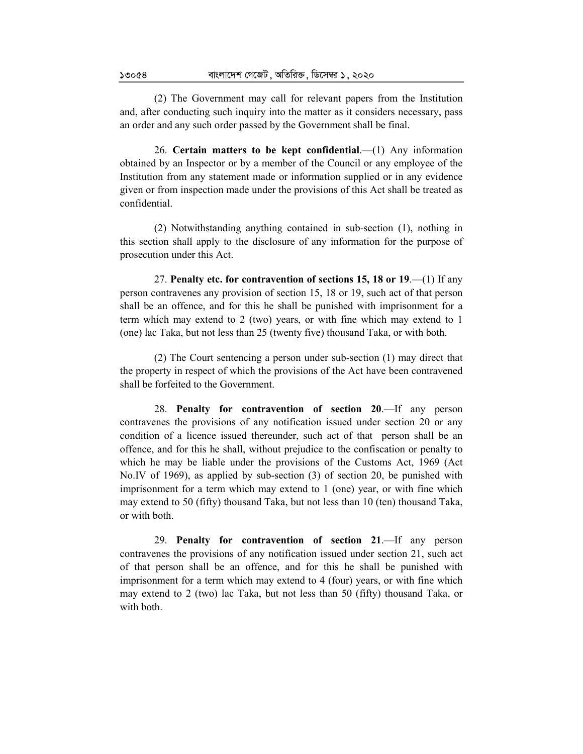(2) The Government may call for relevant papers from the Institution and, after conducting such inquiry into the matter as it considers necessary, pass an order and any such order passed by the Government shall be final.

26. **Certain matters to be kept confidential**.—(1) Any information obtained by an Inspector or by a member of the Council or any employee of the Institution from any statement made or information supplied or in any evidence given or from inspection made under the provisions of this Act shall be treated as confidential.

(2) Notwithstanding anything contained in sub-section (1), nothing in this section shall apply to the disclosure of any information for the purpose of prosecution under this Act.

27. **Penalty etc. for contravention of sections 15, 18 or 19**.—(1) If any person contravenes any provision of section 15, 18 or 19, such act of that person shall be an offence, and for this he shall be punished with imprisonment for a term which may extend to 2 (two) years, or with fine which may extend to 1 (one) lac Taka, but not less than 25 (twenty five) thousand Taka, or with both.

(2) The Court sentencing a person under sub-section (1) may direct that the property in respect of which the provisions of the Act have been contravened shall be forfeited to the Government.

28. **Penalty for contravention of section 20**.—If any person contravenes the provisions of any notification issued under section 20 or any condition of a licence issued thereunder, such act of that person shall be an offence, and for this he shall, without prejudice to the confiscation or penalty to which he may be liable under the provisions of the Customs Act, 1969 (Act No.IV of 1969), as applied by sub-section (3) of section 20, be punished with imprisonment for a term which may extend to 1 (one) year, or with fine which may extend to 50 (fifty) thousand Taka, but not less than 10 (ten) thousand Taka, or with both.

29. **Penalty for contravention of section 21**.—If any person contravenes the provisions of any notification issued under section 21, such act of that person shall be an offence, and for this he shall be punished with imprisonment for a term which may extend to 4 (four) years, or with fine which may extend to 2 (two) lac Taka, but not less than 50 (fifty) thousand Taka, or with both.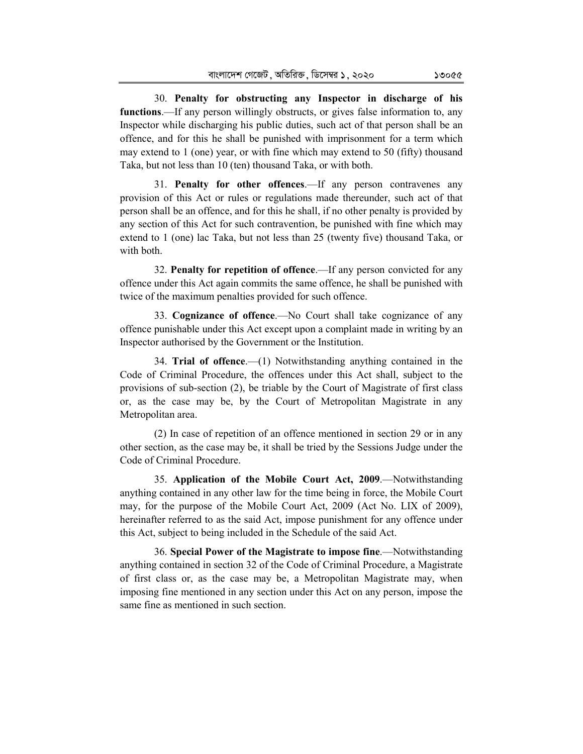30. **Penalty for obstructing any Inspector in discharge of his functions**.—If any person willingly obstructs, or gives false information to, any Inspector while discharging his public duties, such act of that person shall be an offence, and for this he shall be punished with imprisonment for a term which may extend to 1 (one) year, or with fine which may extend to 50 (fifty) thousand Taka, but not less than 10 (ten) thousand Taka, or with both.

31. **Penalty for other offences**.—If any person contravenes any provision of this Act or rules or regulations made thereunder, such act of that person shall be an offence, and for this he shall, if no other penalty is provided by any section of this Act for such contravention, be punished with fine which may extend to 1 (one) lac Taka, but not less than 25 (twenty five) thousand Taka, or with both.

32. **Penalty for repetition of offence**.—If any person convicted for any offence under this Act again commits the same offence, he shall be punished with twice of the maximum penalties provided for such offence.

33. **Cognizance of offence**.—No Court shall take cognizance of any offence punishable under this Act except upon a complaint made in writing by an Inspector authorised by the Government or the Institution.

34. **Trial of offence**.—(1) Notwithstanding anything contained in the Code of Criminal Procedure, the offences under this Act shall, subject to the provisions of sub-section (2), be triable by the Court of Magistrate of first class or, as the case may be, by the Court of Metropolitan Magistrate in any Metropolitan area.

(2) In case of repetition of an offence mentioned in section 29 or in any other section, as the case may be, it shall be tried by the Sessions Judge under the Code of Criminal Procedure.

35. **Application of the Mobile Court Act, 2009**.—Notwithstanding anything contained in any other law for the time being in force, the Mobile Court may, for the purpose of the Mobile Court Act, 2009 (Act No. LIX of 2009), hereinafter referred to as the said Act, impose punishment for any offence under this Act, subject to being included in the Schedule of the said Act.

36. **Special Power of the Magistrate to impose fine**.—Notwithstanding anything contained in section 32 of the Code of Criminal Procedure, a Magistrate of first class or, as the case may be, a Metropolitan Magistrate may, when imposing fine mentioned in any section under this Act on any person, impose the same fine as mentioned in such section.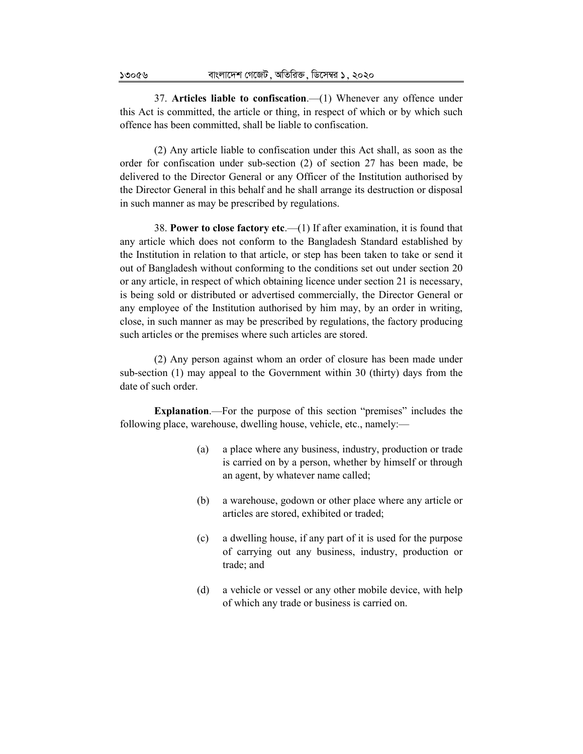37. **Articles liable to confiscation**.—(1) Whenever any offence under this Act is committed, the article or thing, in respect of which or by which such offence has been committed, shall be liable to confiscation.

(2) Any article liable to confiscation under this Act shall, as soon as the order for confiscation under sub-section (2) of section 27 has been made, be delivered to the Director General or any Officer of the Institution authorised by the Director General in this behalf and he shall arrange its destruction or disposal in such manner as may be prescribed by regulations.

38. **Power to close factory etc**.—(1) If after examination, it is found that any article which does not conform to the Bangladesh Standard established by the Institution in relation to that article, or step has been taken to take or send it out of Bangladesh without conforming to the conditions set out under section 20 or any article, in respect of which obtaining licence under section 21 is necessary, is being sold or distributed or advertised commercially, the Director General or any employee of the Institution authorised by him may, by an order in writing, close, in such manner as may be prescribed by regulations, the factory producing such articles or the premises where such articles are stored.

(2) Any person against whom an order of closure has been made under sub-section (1) may appeal to the Government within 30 (thirty) days from the date of such order.

**Explanation.**—For the purpose of this section "premises" includes the following place, warehouse, dwelling house, vehicle, etc., namely:—

- (a) a place where any business, industry, production or trade is carried on by a person, whether by himself or through an agent, by whatever name called;
- (b) a warehouse, godown or other place where any article or articles are stored, exhibited or traded;
- (c) a dwelling house, if any part of it is used for the purpose of carrying out any business, industry, production or trade; and
- (d) a vehicle or vessel or any other mobile device, with help of which any trade or business is carried on.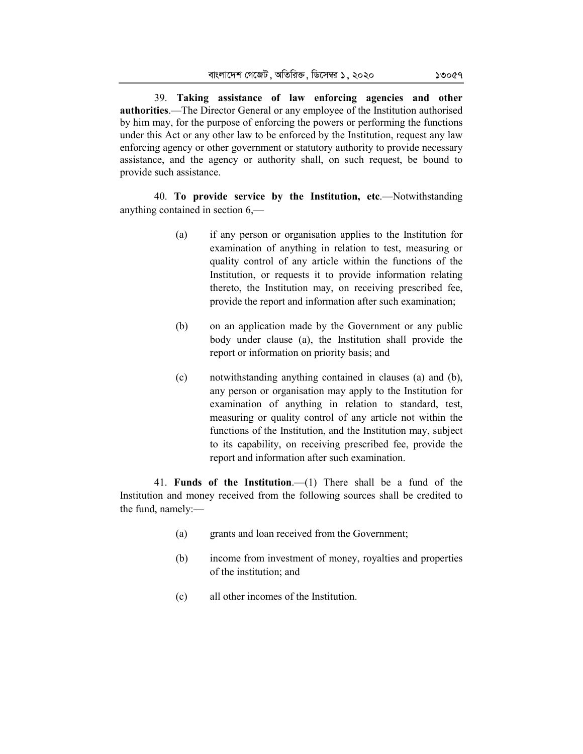39. **Taking assistance of law enforcing agencies and other authorities**.—The Director General or any employee of the Institution authorised by him may, for the purpose of enforcing the powers or performing the functions under this Act or any other law to be enforced by the Institution, request any law enforcing agency or other government or statutory authority to provide necessary assistance, and the agency or authority shall, on such request, be bound to provide such assistance.

40. **To provide service by the Institution, etc**.—Notwithstanding anything contained in section 6,—

- (a) if any person or organisation applies to the Institution for examination of anything in relation to test, measuring or quality control of any article within the functions of the Institution, or requests it to provide information relating thereto, the Institution may, on receiving prescribed fee, provide the report and information after such examination;
- (b) on an application made by the Government or any public body under clause (a), the Institution shall provide the report or information on priority basis; and
- (c) notwithstanding anything contained in clauses (a) and (b), any person or organisation may apply to the Institution for examination of anything in relation to standard, test, measuring or quality control of any article not within the functions of the Institution, and the Institution may, subject to its capability, on receiving prescribed fee, provide the report and information after such examination.

41. **Funds of the Institution**.—(1) There shall be a fund of the Institution and money received from the following sources shall be credited to the fund, namely:—

- (a) grants and loan received from the Government;
- (b) income from investment of money, royalties and properties of the institution; and
- (c) all other incomes of the Institution.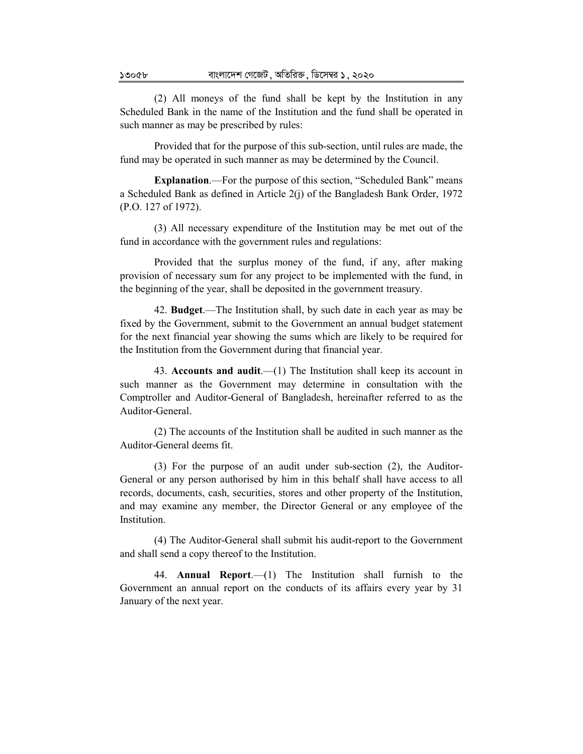(2) All moneys of the fund shall be kept by the Institution in any Scheduled Bank in the name of the Institution and the fund shall be operated in such manner as may be prescribed by rules:

Provided that for the purpose of this sub-section, until rules are made, the fund may be operated in such manner as may be determined by the Council.

**Explanation**.—For the purpose of this section, "Scheduled Bank" means a Scheduled Bank as defined in Article 2(j) of the Bangladesh Bank Order, 1972 (P.O. 127 of 1972).

(3) All necessary expenditure of the Institution may be met out of the fund in accordance with the government rules and regulations:

Provided that the surplus money of the fund, if any, after making provision of necessary sum for any project to be implemented with the fund, in the beginning of the year, shall be deposited in the government treasury.

42. **Budget**.—The Institution shall, by such date in each year as may be fixed by the Government, submit to the Government an annual budget statement for the next financial year showing the sums which are likely to be required for the Institution from the Government during that financial year.

43. **Accounts and audit**.—(1) The Institution shall keep its account in such manner as the Government may determine in consultation with the Comptroller and Auditor-General of Bangladesh, hereinafter referred to as the Auditor-General.

(2) The accounts of the Institution shall be audited in such manner as the Auditor-General deems fit.

(3) For the purpose of an audit under sub-section (2), the Auditor-General or any person authorised by him in this behalf shall have access to all records, documents, cash, securities, stores and other property of the Institution, and may examine any member, the Director General or any employee of the **Institution** 

(4) The Auditor-General shall submit his audit-report to the Government and shall send a copy thereof to the Institution.

44. **Annual Report**.—(1) The Institution shall furnish to the Government an annual report on the conducts of its affairs every year by 31 January of the next year.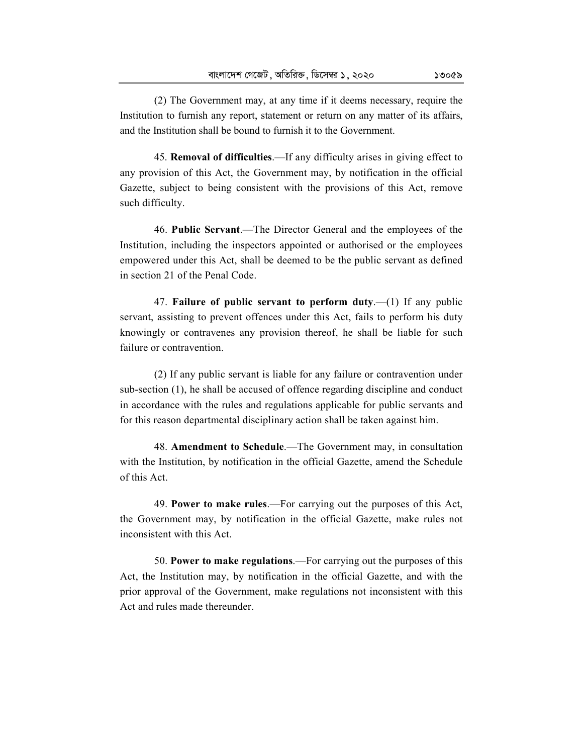45. **Removal of difficulties**.—If any difficulty arises in giving effect to any provision of this Act, the Government may, by notification in the official Gazette, subject to being consistent with the provisions of this Act, remove such difficulty.

46. **Public Servant**.—The Director General and the employees of the Institution, including the inspectors appointed or authorised or the employees empowered under this Act, shall be deemed to be the public servant as defined in section 21 of the Penal Code.

47. **Failure of public servant to perform duty**.—(1) If any public servant, assisting to prevent offences under this Act, fails to perform his duty knowingly or contravenes any provision thereof, he shall be liable for such failure or contravention.

(2) If any public servant is liable for any failure or contravention under sub-section (1), he shall be accused of offence regarding discipline and conduct in accordance with the rules and regulations applicable for public servants and for this reason departmental disciplinary action shall be taken against him.

48. **Amendment to Schedule**.—The Government may, in consultation with the Institution, by notification in the official Gazette, amend the Schedule of this Act.

49. **Power to make rules**.—For carrying out the purposes of this Act, the Government may, by notification in the official Gazette, make rules not inconsistent with this Act.

50. **Power to make regulations**.—For carrying out the purposes of this Act, the Institution may, by notification in the official Gazette, and with the prior approval of the Government, make regulations not inconsistent with this Act and rules made thereunder.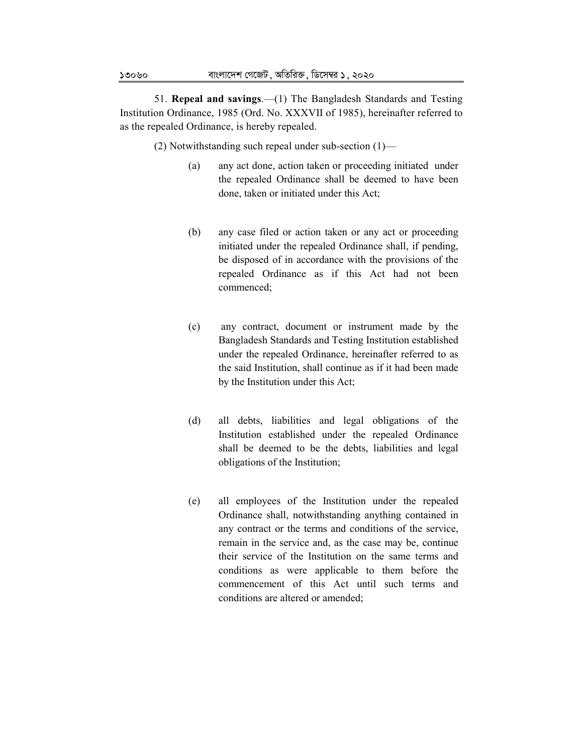51. **Repeal and savings**.—(1) The Bangladesh Standards and Testing Institution Ordinance, 1985 (Ord. No. XXXVII of 1985), hereinafter referred to as the repealed Ordinance, is hereby repealed.

(2) Notwithstanding such repeal under sub-section (1)—

- (a) any act done, action taken or proceeding initiated under the repealed Ordinance shall be deemed to have been done, taken or initiated under this Act;
- (b) any case filed or action taken or any act or proceeding initiated under the repealed Ordinance shall, if pending, be disposed of in accordance with the provisions of the repealed Ordinance as if this Act had not been commenced;
- (c) any contract, document or instrument made by the Bangladesh Standards and Testing Institution established under the repealed Ordinance, hereinafter referred to as the said Institution, shall continue as if it had been made by the Institution under this Act;
- (d) all debts, liabilities and legal obligations of the Institution established under the repealed Ordinance shall be deemed to be the debts, liabilities and legal obligations of the Institution;
- (e) all employees of the Institution under the repealed Ordinance shall, notwithstanding anything contained in any contract or the terms and conditions of the service, remain in the service and, as the case may be, continue their service of the Institution on the same terms and conditions as were applicable to them before the commencement of this Act until such terms and conditions are altered or amended;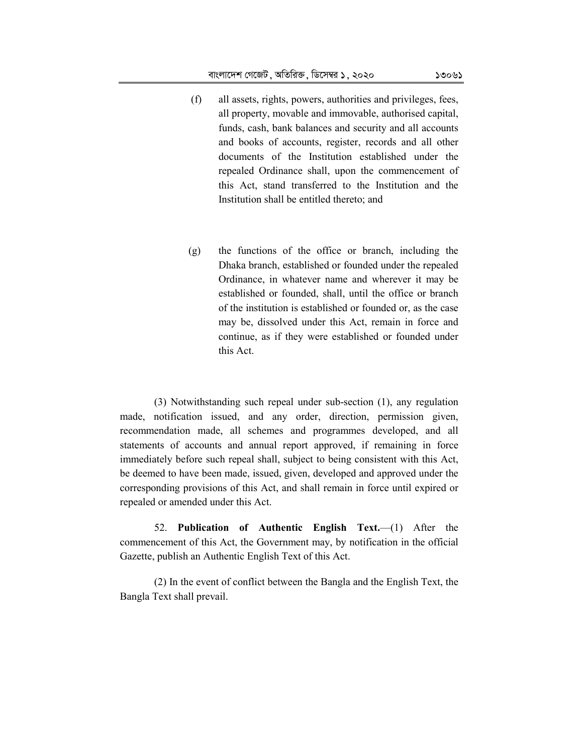- (f) all assets, rights, powers, authorities and privileges, fees, all property, movable and immovable, authorised capital, funds, cash, bank balances and security and all accounts and books of accounts, register, records and all other documents of the Institution established under the repealed Ordinance shall, upon the commencement of this Act, stand transferred to the Institution and the Institution shall be entitled thereto; and
- (g) the functions of the office or branch, including the Dhaka branch, established or founded under the repealed Ordinance, in whatever name and wherever it may be established or founded, shall, until the office or branch of the institution is established or founded or, as the case may be, dissolved under this Act, remain in force and continue, as if they were established or founded under this Act.

(3) Notwithstanding such repeal under sub-section (1), any regulation made, notification issued, and any order, direction, permission given, recommendation made, all schemes and programmes developed, and all statements of accounts and annual report approved, if remaining in force immediately before such repeal shall, subject to being consistent with this Act, be deemed to have been made, issued, given, developed and approved under the corresponding provisions of this Act, and shall remain in force until expired or repealed or amended under this Act.

52. **Publication of Authentic English Text.**—(1) After the commencement of this Act, the Government may, by notification in the official Gazette, publish an Authentic English Text of this Act.

(2) In the event of conflict between the Bangla and the English Text, the Bangla Text shall prevail.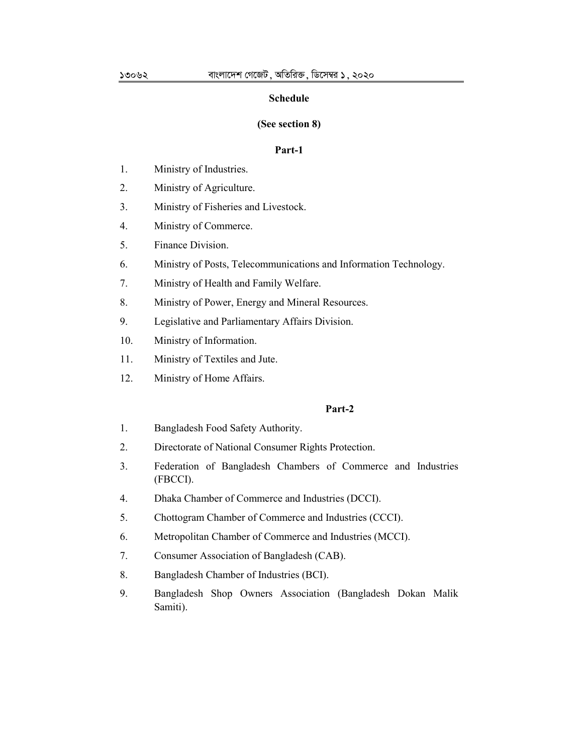#### **Schedule**

#### **(See section 8)**

#### **Part-1**

- 1. Ministry of Industries.
- 2. Ministry of Agriculture.
- 3. Ministry of Fisheries and Livestock.
- 4. Ministry of Commerce.
- 5. Finance Division.
- 6. Ministry of Posts, Telecommunications and Information Technology.
- 7. Ministry of Health and Family Welfare.
- 8. Ministry of Power, Energy and Mineral Resources.
- 9. Legislative and Parliamentary Affairs Division.
- 10. Ministry of Information.
- 11. Ministry of Textiles and Jute.
- 12. Ministry of Home Affairs.

## **Part-2**

- 1. Bangladesh Food Safety Authority.
- 2. Directorate of National Consumer Rights Protection.
- 3. Federation of Bangladesh Chambers of Commerce and Industries (FBCCI).
- 4. Dhaka Chamber of Commerce and Industries (DCCI).
- 5. Chottogram Chamber of Commerce and Industries (CCCI).
- 6. Metropolitan Chamber of Commerce and Industries (MCCI).
- 7. Consumer Association of Bangladesh (CAB).
- 8. Bangladesh Chamber of Industries (BCI).
- 9. Bangladesh Shop Owners Association (Bangladesh Dokan Malik Samiti).